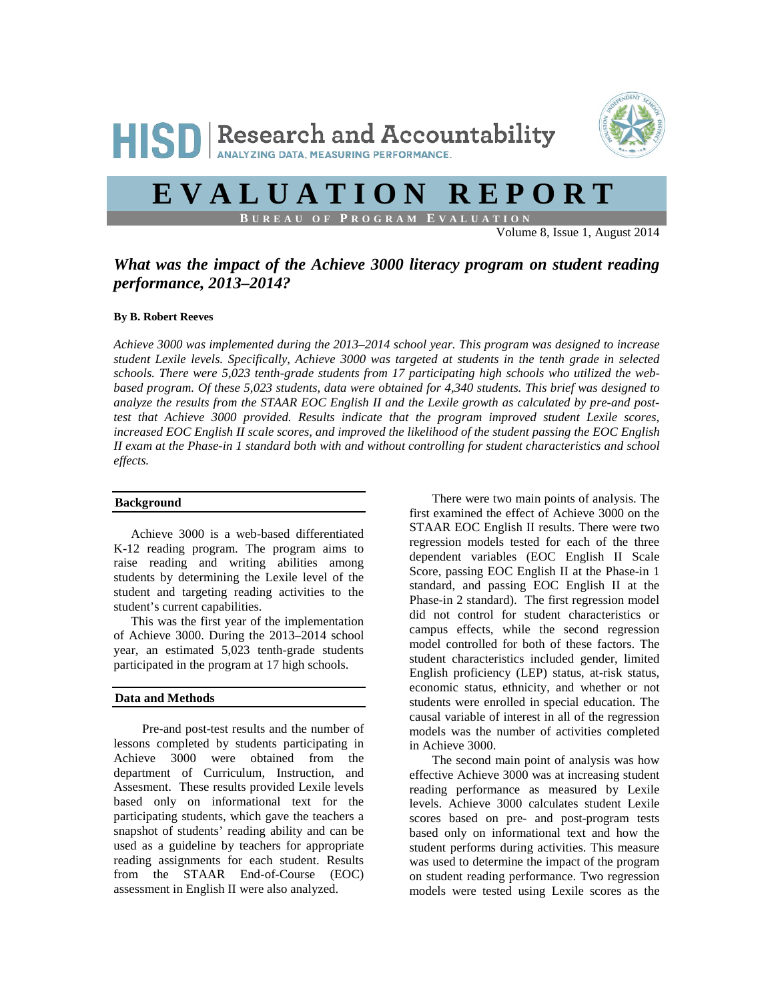

# **EVALUATION REPORT**

**B UREAU OF P ROGRAM E VALUATION**

Volume 8, Issue 1, August 2014

## *What was the impact of the Achieve 3000 literacy program on student reading performance, 2013–2014?*

## **By B. Robert Reeves**

*Achieve 3000 was implemented during the 2013–2014 school year. This program was designed to increase student Lexile levels. Specifically, Achieve 3000 was targeted at students in the tenth grade in selected schools. There were 5,023 tenth-grade students from 17 participating high schools who utilized the webbased program. Of these 5,023 students, data were obtained for 4,340 students. This brief was designed to analyze the results from the STAAR EOC English II and the Lexile growth as calculated by pre-and posttest that Achieve 3000 provided. Results indicate that the program improved student Lexile scores, increased EOC English II scale scores, and improved the likelihood of the student passing the EOC English II exam at the Phase-in 1 standard both with and without controlling for student characteristics and school effects.*

#### **Background**

Achieve 3000 is a web-based differentiated K-12 reading program. The program aims to raise reading and writing abilities among students by determining the Lexile level of the student and targeting reading activities to the student's current capabilities.

This was the first year of the implementation of Achieve 3000. During the 2013–2014 school year, an estimated 5,023 tenth-grade students participated in the program at 17 high schools.

## **Data and Methods**

Pre-and post-test results and the number of lessons completed by students participating in Achieve 3000 were obtained from the department of Curriculum, Instruction, and Assesment. These results provided Lexile levels based only on informational text for the participating students, which gave the teachers a snapshot of students' reading ability and can be used as a guideline by teachers for appropriate reading assignments for each student. Results from the STAAR End-of-Course (EOC) assessment in English II were also analyzed.

There were two main points of analysis. The first examined the effect of Achieve 3000 on the STAAR EOC English II results. There were two regression models tested for each of the three dependent variables (EOC English II Scale Score, passing EOC English II at the Phase-in 1 standard, and passing EOC English II at the Phase-in 2 standard). The first regression model did not control for student characteristics or campus effects, while the second regression model controlled for both of these factors. The student characteristics included gender, limited English proficiency (LEP) status, at-risk status, economic status, ethnicity, and whether or not students were enrolled in special education. The causal variable of interest in all of the regression models was the number of activities completed in Achieve 3000.

The second main point of analysis was how effective Achieve 3000 was at increasing student reading performance as measured by Lexile levels. Achieve 3000 calculates student Lexile scores based on pre- and post-program tests based only on informational text and how the student performs during activities. This measure was used to determine the impact of the program on student reading performance. Two regression models were tested using Lexile scores as the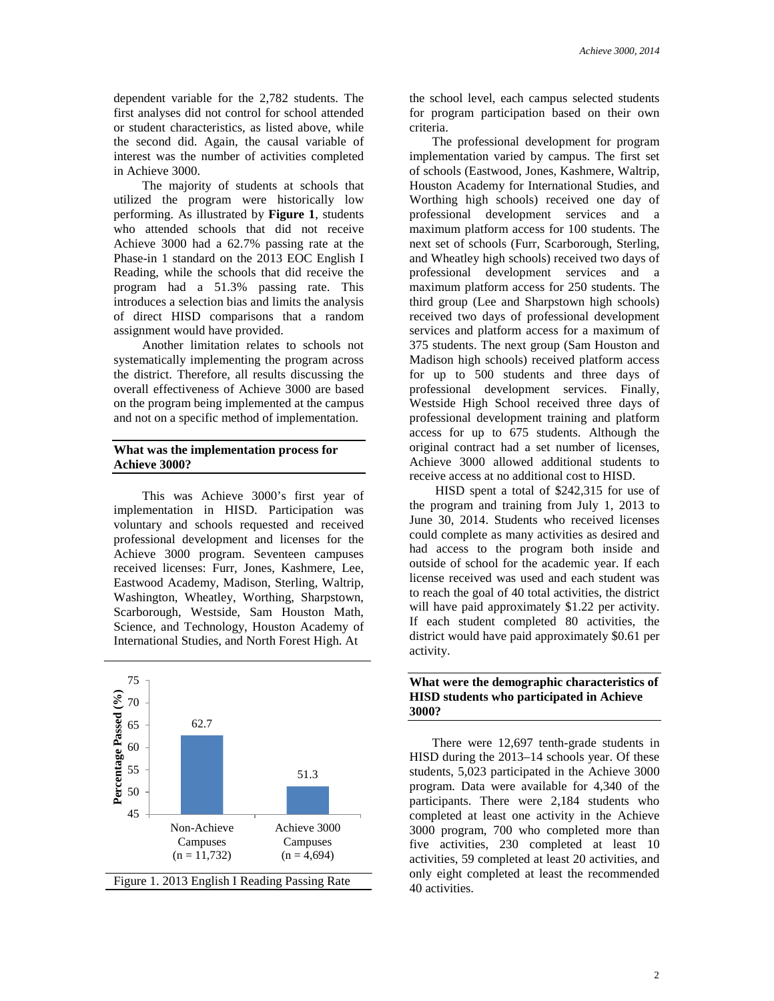dependent variable for the 2,782 students. The first analyses did not control for school attended or student characteristics, as listed above, while the second did. Again, the causal variable of interest was the number of activities completed in Achieve 3000.

The majority of students at schools that utilized the program were historically low performing. As illustrated by **Figure 1**, students who attended schools that did not receive Achieve 3000 had a 62.7% passing rate at the Phase-in 1 standard on the 2013 EOC English I Reading, while the schools that did receive the program had a 51.3% passing rate. This introduces a selection bias and limits the analysis of direct HISD comparisons that a random assignment would have provided.

Another limitation relates to schools not systematically implementing the program across the district. Therefore, all results discussing the overall effectiveness of Achieve 3000 are based on the program being implemented at the campus and not on a specific method of implementation.

#### **What was the implementation process for Achieve 3000?**

This was Achieve 3000's first year of implementation in HISD. Participation was voluntary and schools requested and received professional development and licenses for the Achieve 3000 program. Seventeen campuses received licenses: Furr, Jones, Kashmere, Lee, Eastwood Academy, Madison, Sterling, Waltrip, Washington, Wheatley, Worthing, Sharpstown, Scarborough, Westside, Sam Houston Math, Science, and Technology, Houston Academy of International Studies, and North Forest High. At



the school level, each campus selected students for program participation based on their own criteria.

The professional development for program implementation varied by campus. The first set of schools (Eastwood, Jones, Kashmere, Waltrip, Houston Academy for International Studies, and Worthing high schools) received one day of professional development services and a maximum platform access for 100 students. The next set of schools (Furr, Scarborough, Sterling, and Wheatley high schools) received two days of professional development services and a maximum platform access for 250 students. The third group (Lee and Sharpstown high schools) received two days of professional development services and platform access for a maximum of 375 students. The next group (Sam Houston and Madison high schools) received platform access for up to 500 students and three days of professional development services. Finally, Westside High School received three days of professional development training and platform access for up to 675 students. Although the original contract had a set number of licenses, Achieve 3000 allowed additional students to receive access at no additional cost to HISD.

HISD spent a total of \$242,315 for use of the program and training from July 1, 2013 to June 30, 2014. Students who received licenses could complete as many activities as desired and had access to the program both inside and outside of school for the academic year. If each license received was used and each student was to reach the goal of 40 total activities, the district will have paid approximately \$1.22 per activity. If each student completed 80 activities, the district would have paid approximately \$0.61 per activity.

## **What were the demographic characteristics of HISD students who participated in Achieve 3000?**

There were 12,697 tenth-grade students in HISD during the 2013–14 schools year. Of these students, 5,023 participated in the Achieve 3000 program. Data were available for 4,340 of the participants. There were 2,184 students who completed at least one activity in the Achieve 3000 program, 700 who completed more than five activities, 230 completed at least 10 activities, 59 completed at least 20 activities, and only eight completed at least the recommended 40 activities.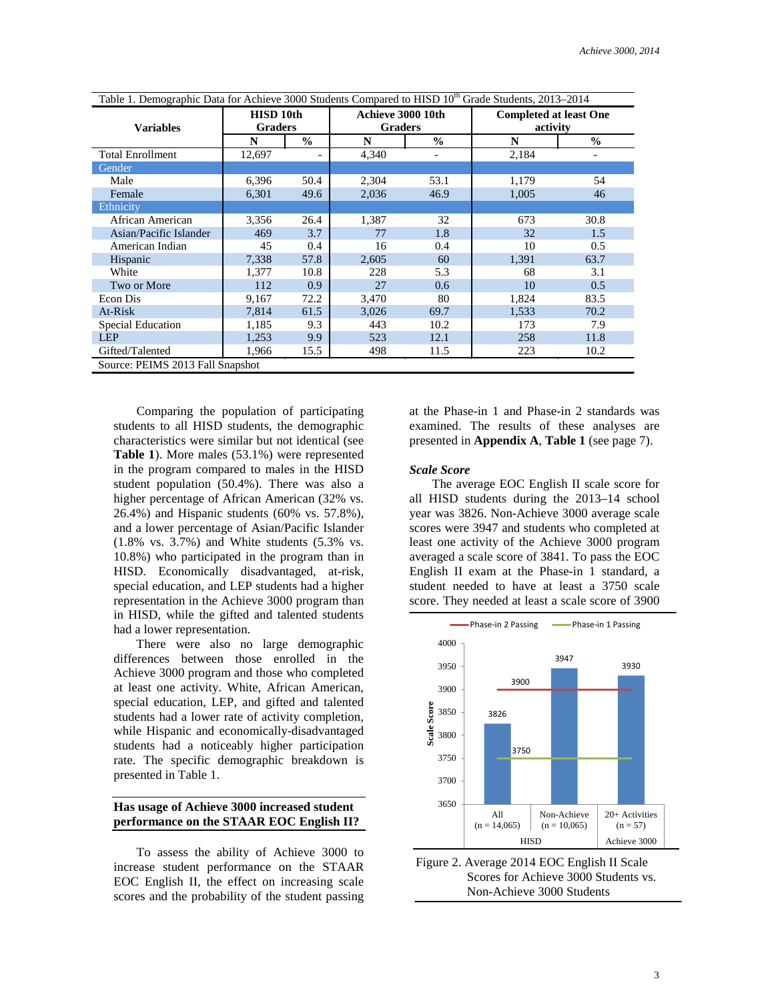| Table 1. Demographic Data for Achieve 3000 Students Compared to HISD 10 <sup>th</sup> Grade Students, 2013–2014 |                             |               |                                     |               |                                           |               |  |
|-----------------------------------------------------------------------------------------------------------------|-----------------------------|---------------|-------------------------------------|---------------|-------------------------------------------|---------------|--|
| <b>Variables</b>                                                                                                | HISD 10th<br><b>Graders</b> |               | Achieve 3000 10th<br><b>Graders</b> |               | <b>Completed at least One</b><br>activity |               |  |
|                                                                                                                 | N                           | $\frac{0}{0}$ | N                                   | $\frac{6}{6}$ | N                                         | $\frac{6}{6}$ |  |
| <b>Total Enrollment</b>                                                                                         | 12,697                      |               | 4,340                               |               | 2,184                                     |               |  |
| Gender                                                                                                          |                             |               |                                     |               |                                           |               |  |
| Male                                                                                                            | 6,396                       | 50.4          | 2,304                               | 53.1          | 1,179                                     | 54            |  |
| Female                                                                                                          | 6,301                       | 49.6          | 2,036                               | 46.9          | 1,005                                     | 46            |  |
| Ethnicity                                                                                                       |                             |               |                                     |               |                                           |               |  |
| African American                                                                                                | 3,356                       | 26.4          | 1,387                               | 32            | 673                                       | 30.8          |  |
| Asian/Pacific Islander                                                                                          | 469                         | 3.7           | 77                                  | 1.8           | 32                                        | 1.5           |  |
| American Indian                                                                                                 | 45                          | 0.4           | 16                                  | 0.4           | 10                                        | 0.5           |  |
| Hispanic                                                                                                        | 7,338                       | 57.8          | 2,605                               | 60            | 1,391                                     | 63.7          |  |
| White                                                                                                           | 1,377                       | 10.8          | 228                                 | 5.3           | 68                                        | 3.1           |  |
| Two or More                                                                                                     | 112                         | 0.9           | 27                                  | 0.6           | 10                                        | 0.5           |  |
| Econ Dis                                                                                                        | 9,167                       | 72.2          | 3,470                               | 80            | 1,824                                     | 83.5          |  |
| At-Risk                                                                                                         | 7,814                       | 61.5          | 3,026                               | 69.7          | 1,533                                     | 70.2          |  |
| <b>Special Education</b>                                                                                        | 1,185                       | 9.3           | 443                                 | 10.2          | 173                                       | 7.9           |  |
| <b>LEP</b>                                                                                                      | 1,253                       | 9.9           | 523                                 | 12.1          | 258                                       | 11.8          |  |
| Gifted/Talented                                                                                                 | 1,966                       | 15.5          | 498                                 | 11.5          | 223                                       | 10.2          |  |
| Source: PEIMS 2013 Fall Snapshot                                                                                |                             |               |                                     |               |                                           |               |  |

Comparing the population of participating students to all HISD students, the demographic characteristics were similar but not identical (see **Table 1**). More males (53.1%) were represented in the program compared to males in the HISD student population (50.4%). There was also a higher percentage of African American (32% vs. 26.4%) and Hispanic students (60% vs. 57.8%), and a lower percentage of Asian/Pacific Islander (1.8% vs. 3.7%) and White students (5.3% vs. 10.8%) who participated in the program than in HISD. Economically disadvantaged, at-risk, special education, and LEP students had a higher representation in the Achieve 3000 program than in HISD, while the gifted and talented students had a lower representation.

There were also no large demographic differences between those enrolled in the Achieve 3000 program and those who completed at least one activity. White, African American, special education, LEP, and gifted and talented students had a lower rate of activity completion, while Hispanic and economically-disadvantaged students had a noticeably higher participation rate. The specific demographic breakdown is presented in Table 1.

## **Has usage of Achieve 3000 increased student performance on the STAAR EOC English II?**

To assess the ability of Achieve 3000 to increase student performance on the STAAR EOC English II, the effect on increasing scale scores and the probability of the student passing

at the Phase-in 1 and Phase-in 2 standards was examined. The results of these analyses are presented in **Appendix A**, **Table 1** (see page 7).

#### *Scale Score*

The average EOC English II scale score for all HISD students during the 2013–14 school year was 3826. Non-Achieve 3000 average scale scores were 3947 and students who completed at least one activity of the Achieve 3000 program averaged a scale score of 3841. To pass the EOC English II exam at the Phase-in 1 standard, a student needed to have at least a 3750 scale score. They needed at least a scale score of 3900



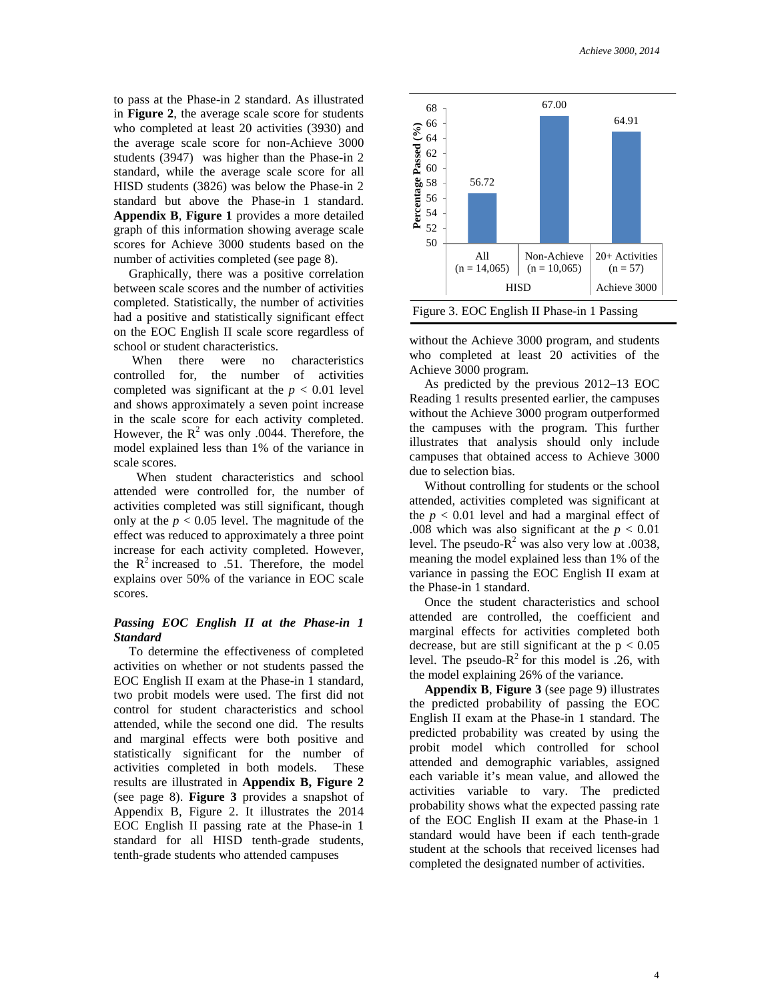to pass at the Phase-in 2 standard. As illustrated in **Figure 2**, the average scale score for students who completed at least 20 activities (3930) and the average scale score for non-Achieve 3000 students (3947) was higher than the Phase-in 2 standard, while the average scale score for all HISD students (3826) was below the Phase-in 2 standard but above the Phase-in 1 standard. **Appendix B**, **Figure 1** provides a more detailed graph of this information showing average scale scores for Achieve 3000 students based on the number of activities completed (see page 8).

Graphically, there was a positive correlation between scale scores and the number of activities completed. Statistically, the number of activities had a positive and statistically significant effect on the EOC English II scale score regardless of school or student characteristics.

When there were no characteristics controlled for, the number of activities completed was significant at the  $p < 0.01$  level and shows approximately a seven point increase in the scale score for each activity completed. However, the  $R^2$  was only .0044. Therefore, the model explained less than 1% of the variance in scale scores.

When student characteristics and school attended were controlled for, the number of activities completed was still significant, though only at the  $p < 0.05$  level. The magnitude of the effect was reduced to approximately a three point increase for each activity completed. However, the  $R^2$  increased to .51. Therefore, the model explains over 50% of the variance in EOC scale scores.

## *Passing EOC English II at the Phase-in 1 Standard*

To determine the effectiveness of completed activities on whether or not students passed the EOC English II exam at the Phase-in 1 standard, two probit models were used. The first did not control for student characteristics and school attended, while the second one did. The results and marginal effects were both positive and statistically significant for the number of activities completed in both models. These results are illustrated in **Appendix B, Figure 2**  (see page 8). **Figure 3** provides a snapshot of Appendix B, Figure 2. It illustrates the 2014 EOC English II passing rate at the Phase-in 1 standard for all HISD tenth-grade students, tenth-grade students who attended campuses





without the Achieve 3000 program, and students who completed at least 20 activities of the Achieve 3000 program.

As predicted by the previous 2012–13 EOC Reading 1 results presented earlier, the campuses without the Achieve 3000 program outperformed the campuses with the program. This further illustrates that analysis should only include campuses that obtained access to Achieve 3000 due to selection bias.

Without controlling for students or the school attended, activities completed was significant at the  $p < 0.01$  level and had a marginal effect of .008 which was also significant at the  $p < 0.01$ level. The pseudo- $R^2$  was also very low at .0038, meaning the model explained less than 1% of the variance in passing the EOC English II exam at the Phase-in 1 standard.

Once the student characteristics and school attended are controlled, the coefficient and marginal effects for activities completed both decrease, but are still significant at the  $p < 0.05$ level. The pseudo- $R^2$  for this model is .26, with the model explaining 26% of the variance.

**Appendix B**, **Figure 3** (see page 9) illustrates the predicted probability of passing the EOC English II exam at the Phase-in 1 standard. The predicted probability was created by using the probit model which controlled for school attended and demographic variables, assigned each variable it's mean value, and allowed the activities variable to vary. The predicted probability shows what the expected passing rate of the EOC English II exam at the Phase-in 1 standard would have been if each tenth-grade student at the schools that received licenses had completed the designated number of activities.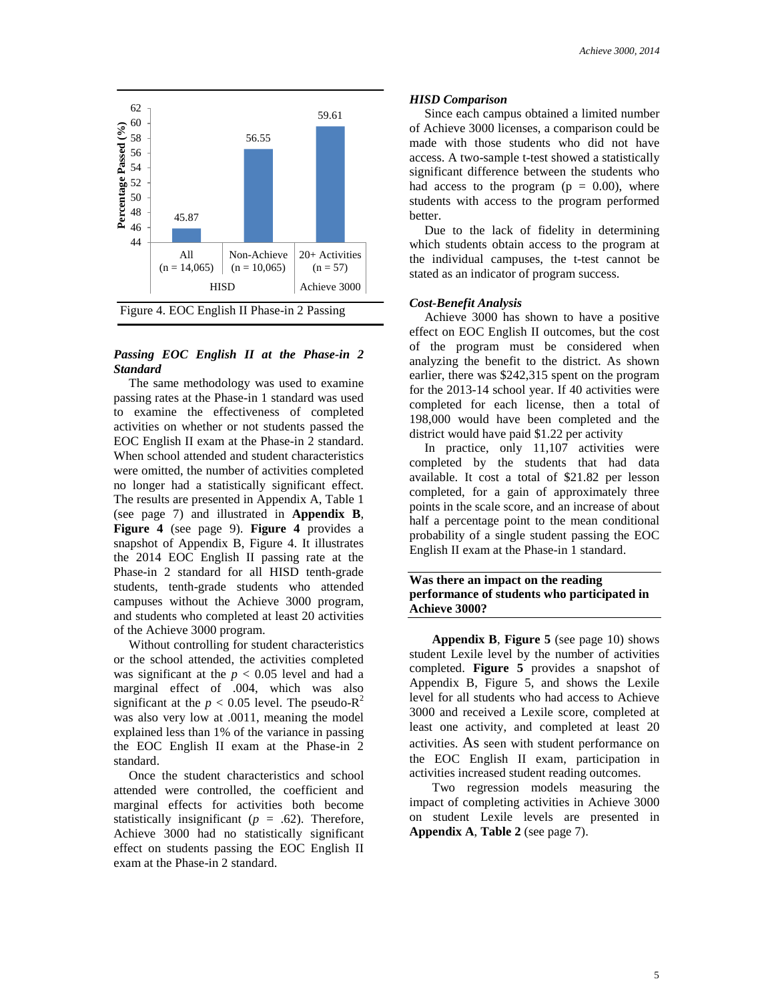

## *Passing EOC English II at the Phase-in 2 Standard*

The same methodology was used to examine passing rates at the Phase-in 1 standard was used to examine the effectiveness of completed activities on whether or not students passed the EOC English II exam at the Phase-in 2 standard. When school attended and student characteristics were omitted, the number of activities completed no longer had a statistically significant effect. The results are presented in Appendix A, Table 1 (see page 7) and illustrated in **Appendix B**, **Figure 4** (see page 9). **Figure 4** provides a snapshot of Appendix B, Figure 4. It illustrates the 2014 EOC English II passing rate at the Phase-in 2 standard for all HISD tenth-grade students, tenth-grade students who attended campuses without the Achieve 3000 program, and students who completed at least 20 activities of the Achieve 3000 program.

Without controlling for student characteristics or the school attended, the activities completed was significant at the  $p < 0.05$  level and had a marginal effect of .004, which was also significant at the  $p < 0.05$  level. The pseudo- $R^2$ was also very low at .0011, meaning the model explained less than 1% of the variance in passing the EOC English II exam at the Phase-in 2 standard.

Once the student characteristics and school attended were controlled, the coefficient and marginal effects for activities both become statistically insignificant ( $p = .62$ ). Therefore, Achieve 3000 had no statistically significant effect on students passing the EOC English II exam at the Phase-in 2 standard.

#### *HISD Comparison*

Since each campus obtained a limited number of Achieve 3000 licenses, a comparison could be made with those students who did not have access. A two-sample t-test showed a statistically significant difference between the students who had access to the program ( $p = 0.00$ ), where students with access to the program performed better.

Due to the lack of fidelity in determining which students obtain access to the program at the individual campuses, the t-test cannot be stated as an indicator of program success.

#### *Cost-Benefit Analysis*

Achieve 3000 has shown to have a positive effect on EOC English II outcomes, but the cost of the program must be considered when analyzing the benefit to the district. As shown earlier, there was \$242,315 spent on the program for the 2013-14 school year. If 40 activities were completed for each license, then a total of 198,000 would have been completed and the district would have paid \$1.22 per activity

In practice, only 11,107 activities were completed by the students that had data available. It cost a total of \$21.82 per lesson completed, for a gain of approximately three points in the scale score, and an increase of about half a percentage point to the mean conditional probability of a single student passing the EOC English II exam at the Phase-in 1 standard.

## **Was there an impact on the reading performance of students who participated in Achieve 3000?**

**Appendix B**, **Figure 5** (see page 10) shows student Lexile level by the number of activities completed. **Figure 5** provides a snapshot of Appendix B, Figure 5, and shows the Lexile level for all students who had access to Achieve 3000 and received a Lexile score, completed at least one activity, and completed at least 20 activities. As seen with student performance on the EOC English II exam, participation in activities increased student reading outcomes.

Two regression models measuring the impact of completing activities in Achieve 3000 on student Lexile levels are presented in **Appendix A**, **Table 2** (see page 7).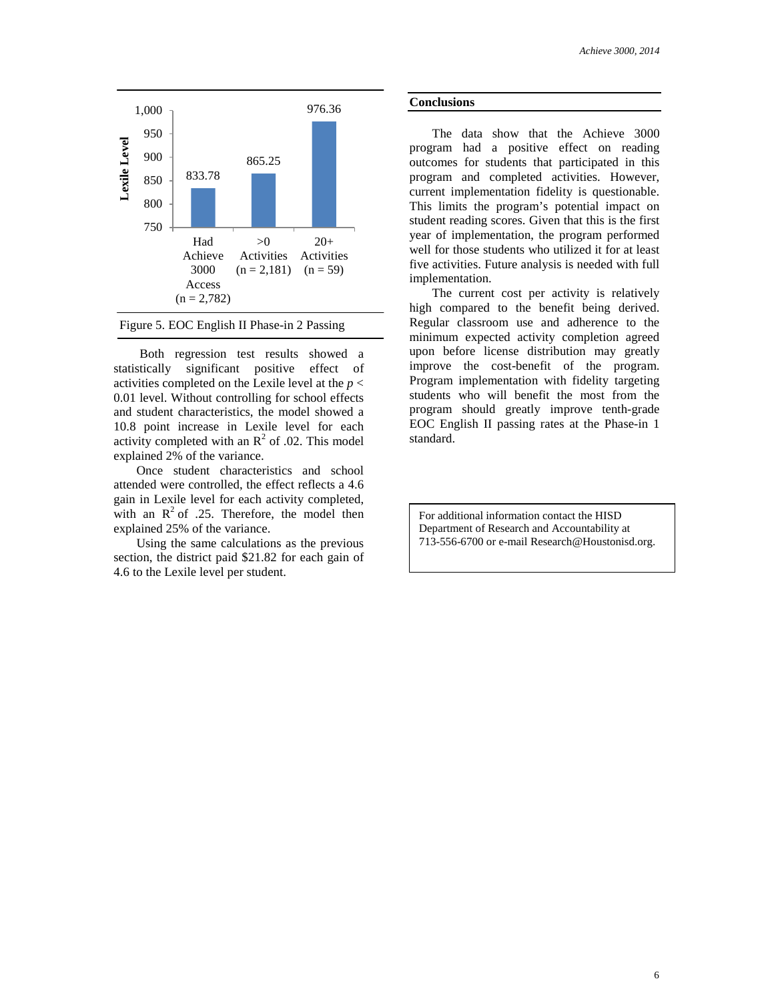



Both regression test results showed a statistically significant positive effect of activities completed on the Lexile level at the *p* < 0.01 level. Without controlling for school effects and student characteristics, the model showed a 10.8 point increase in Lexile level for each activity completed with an  $R^2$  of .02. This model explained 2% of the variance.

Once student characteristics and school attended were controlled, the effect reflects a 4.6 gain in Lexile level for each activity completed, with an  $R^2$  of .25. Therefore, the model then explained 25% of the variance.

Using the same calculations as the previous section, the district paid \$21.82 for each gain of 4.6 to the Lexile level per student.

#### **Conclusions**

The data show that the Achieve 3000 program had a positive effect on reading outcomes for students that participated in this program and completed activities. However, current implementation fidelity is questionable. This limits the program's potential impact on student reading scores. Given that this is the first year of implementation, the program performed well for those students who utilized it for at least five activities. Future analysis is needed with full implementation.

The current cost per activity is relatively high compared to the benefit being derived. Regular classroom use and adherence to the minimum expected activity completion agreed upon before license distribution may greatly improve the cost-benefit of the program. Program implementation with fidelity targeting students who will benefit the most from the program should greatly improve tenth-grade EOC English II passing rates at the Phase-in 1 standard.

For additional information contact the HISD Department of Research and Accountability at 713-556-6700 or e-mail Research@Houstonisd.org.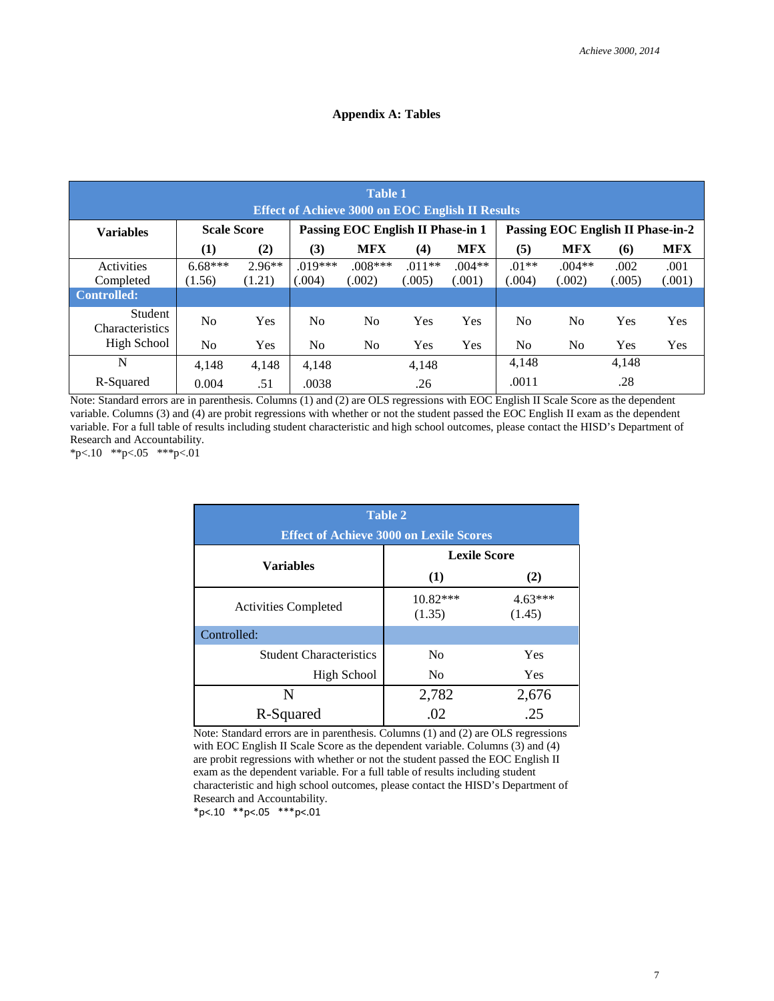## **Appendix A: Tables**

| <b>Table 1</b><br><b>Effect of Achieve 3000 on EOC English II Results</b> |                     |                    |                                   |                     |                    |                    |                                   |                    |                |                |
|---------------------------------------------------------------------------|---------------------|--------------------|-----------------------------------|---------------------|--------------------|--------------------|-----------------------------------|--------------------|----------------|----------------|
| <b>Variables</b>                                                          | <b>Scale Score</b>  |                    | Passing EOC English II Phase-in 1 |                     |                    |                    | Passing EOC English II Phase-in-2 |                    |                |                |
|                                                                           | (1)                 | (2)                | (3)                               | <b>MFX</b>          | (4)                | <b>MFX</b>         | (5)                               | <b>MFX</b>         | (6)            | <b>MFX</b>     |
| Activities<br>Completed                                                   | $6.68***$<br>(1.56) | $2.96**$<br>(1.21) | $.019***$<br>(.004)               | $.008***$<br>(.002) | $.011**$<br>(.005) | $.004**$<br>(.001) | $.01**$<br>0.004)                 | $.004**$<br>(.002) | .002<br>(.005) | .001<br>(.001) |
| <b>Controlled:</b>                                                        |                     |                    |                                   |                     |                    |                    |                                   |                    |                |                |
| Student<br><b>Characteristics</b>                                         | N <sub>o</sub>      | Yes                | N <sub>o</sub>                    | N <sub>0</sub>      | Yes                | Yes                | No.                               | No.                | Yes            | Yes            |
| High School                                                               | N <sub>0</sub>      | Yes                | N <sub>0</sub>                    | N <sub>0</sub>      | Yes                | <b>Yes</b>         | No.                               | No.                | <b>Yes</b>     | Yes            |
| N                                                                         | 4.148               | 4,148              | 4,148                             |                     | 4,148              |                    | 4.148                             |                    | 4,148          |                |
| R-Squared                                                                 | 0.004               | .51                | .0038                             |                     | .26                |                    | .0011                             |                    | .28            |                |

Note: Standard errors are in parenthesis. Columns (1) and (2) are OLS regressions with EOC English II Scale Score as the dependent variable. Columns (3) and (4) are probit regressions with whether or not the student passed the EOC English II exam as the dependent variable. For a full table of results including student characteristic and high school outcomes, please contact the HISD's Department of Research and Accountability.

\*p<.10 \*\*p<.05 \*\*\*p<.01

| <b>Table 2</b>                                 |                     |                     |  |  |  |  |  |
|------------------------------------------------|---------------------|---------------------|--|--|--|--|--|
| <b>Effect of Achieve 3000 on Lexile Scores</b> |                     |                     |  |  |  |  |  |
|                                                | <b>Lexile Score</b> |                     |  |  |  |  |  |
| <b>Variables</b>                               | (1)                 | (2)                 |  |  |  |  |  |
| <b>Activities Completed</b>                    | 10.82***<br>(1.35)  | $4.63***$<br>(1.45) |  |  |  |  |  |
| Controlled:                                    |                     |                     |  |  |  |  |  |
| <b>Student Characteristics</b>                 | N <sub>0</sub>      | Yes                 |  |  |  |  |  |
| High School                                    | N <sub>0</sub>      | Yes                 |  |  |  |  |  |
| N                                              | 2,782               | 2,676               |  |  |  |  |  |
| R-Squared                                      | .02                 | .25                 |  |  |  |  |  |

Note: Standard errors are in parenthesis. Columns (1) and (2) are OLS regressions with EOC English II Scale Score as the dependent variable. Columns (3) and (4) are probit regressions with whether or not the student passed the EOC English II exam as the dependent variable. For a full table of results including student characteristic and high school outcomes, please contact the HISD's Department of Research and Accountability.

\*p<.10 \*\*p<.05 \*\*\*p<.01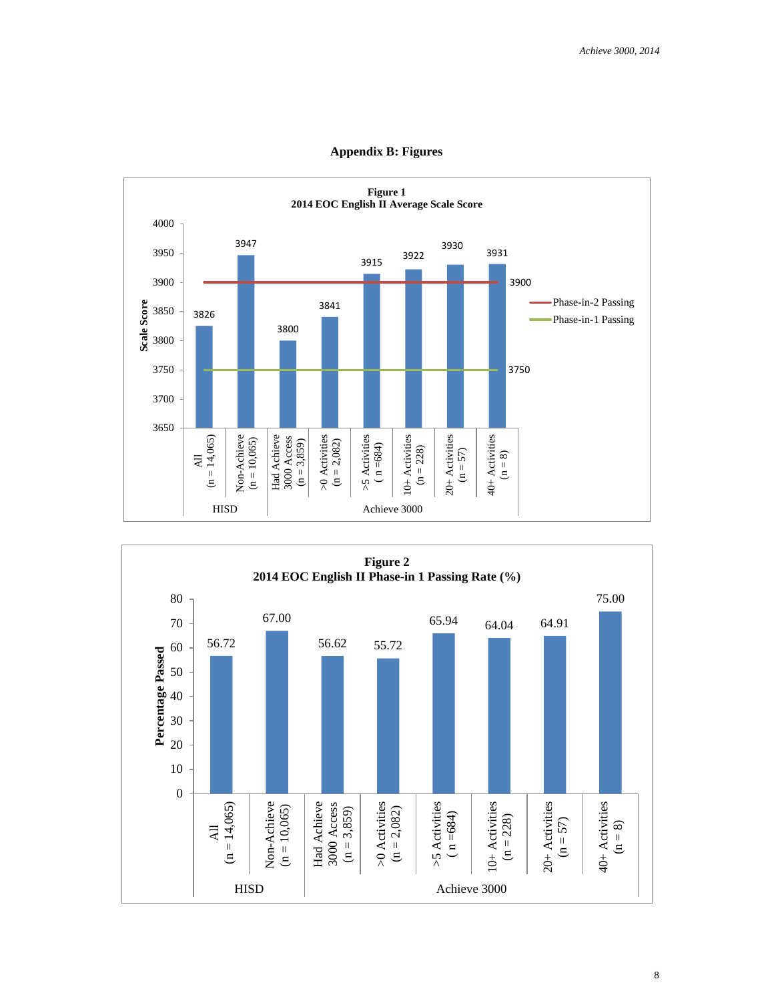

**Appendix B: Figures**

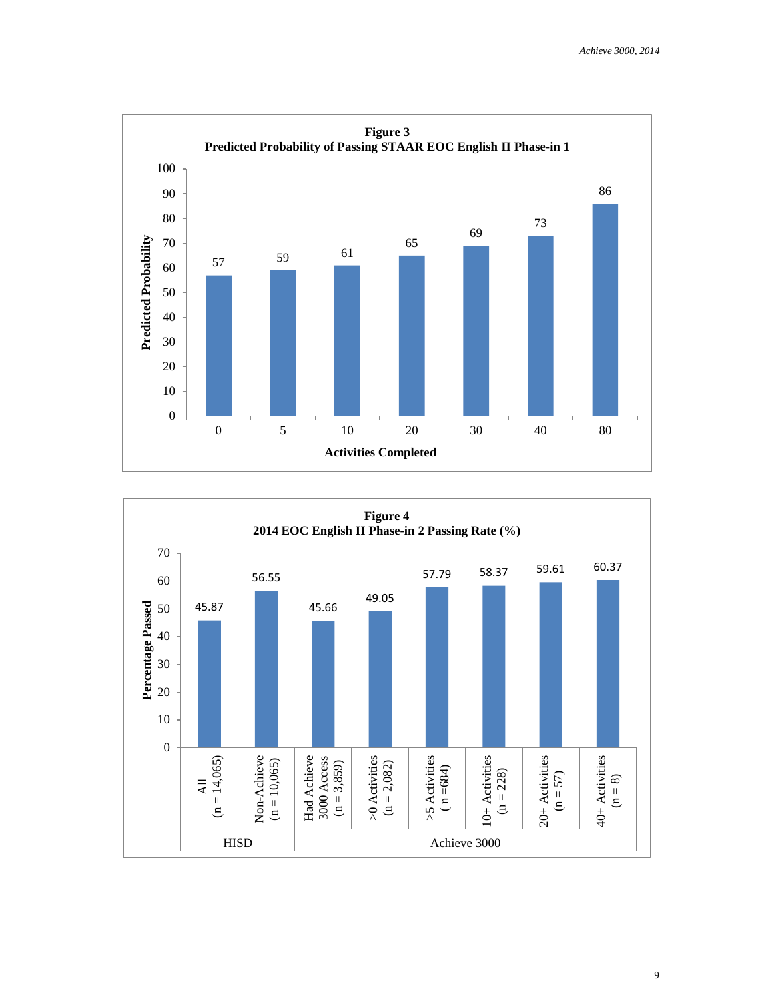



9